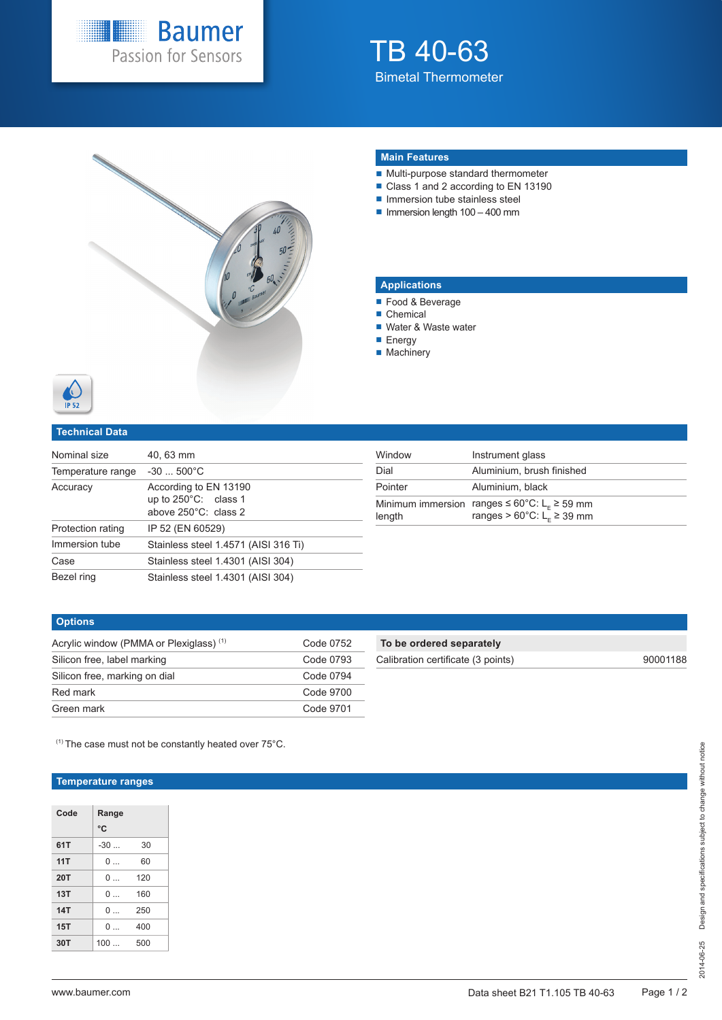

# TB 40-63 Bimetal Thermometer



# **Main Features**

- Multi-purpose standard thermometer
- Class 1 and 2 according to EN 13190
- **Immersion tube stainless steel**
- $\blacksquare$  Immersion length 100 400 mm

## **Applications**

- Food & Beverage
- Chemical
- Water & Waste water
- **Energy**
- **Machinery**

## **Technical Data**

| Nominal size      | 40.63 mm                                                                        |
|-------------------|---------------------------------------------------------------------------------|
| Temperature range | $-30500^{\circ}$ C                                                              |
| Accuracy          | According to EN 13190<br>up to $250^{\circ}$ C: class 1<br>above 250°C: class 2 |
| Protection rating | IP 52 (EN 60529)                                                                |
| Immersion tube    | Stainless steel 1.4571 (AISI 316 Ti)                                            |
| Case              | Stainless steel 1.4301 (AISI 304)                                               |
| Bezel ring        | Stainless steel 1.4301 (AISI 304)                                               |

| Window  | Instrument glass                                                                                                                  |
|---------|-----------------------------------------------------------------------------------------------------------------------------------|
| Dial    | Aluminium, brush finished                                                                                                         |
| Pointer | Aluminium, black                                                                                                                  |
| length  | Minimum immersion ranges $\leq 60^{\circ}$ C: L <sub>c</sub> $\geq 59$ mm<br>ranges > $60^{\circ}$ C: L <sub>F</sub> $\geq$ 39 mm |

#### **Options**

| Acrylic window (PMMA or Plexiglass) <sup>(1)</sup> | Code 0752 |
|----------------------------------------------------|-----------|
| Silicon free, label marking                        | Code 0793 |
| Silicon free, marking on dial                      | Code 0794 |
| Red mark                                           | Code 9700 |
| Green mark                                         | Code 9701 |

# **To be ordered separately**

Calibration certificate (3 points) 90001188

 $(1)$  The case must not be constantly heated over 75 $^{\circ}$ C.

## **Temperature ranges**

| Code       | Range    |     |
|------------|----------|-----|
|            | °C       |     |
| 61T        | $-30$    | 30  |
| 11T        | 0        | 60  |
| <b>20T</b> | $\Omega$ | 120 |
| 13T        | $\Omega$ | 160 |
| 14T        | $\Omega$ | 250 |
| 15T        | 0        | 400 |
| 30T        | 100      | 500 |
|            |          |     |